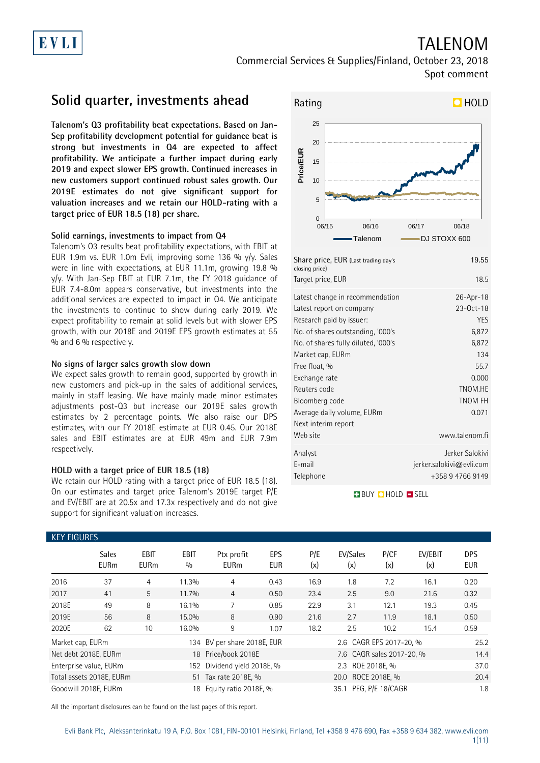## TALENOM Commercial Services & Supplies/Finland, October 23, 2018

Spot comment

## **Solid quarter, investments ahead**

**Talenom's Q3 profitability beat expectations. Based on Jan-Sep profitability development potential for guidance beat is strong but investments in Q4 are expected to affect profitability. We anticipate a further impact during early 2019 and expect slower EPS growth. Continued increases in new customers support continued robust sales growth. Our 2019E estimates do not give significant support for valuation increases and we retain our HOLD-rating with a target price of EUR 18.5 (18) per share.** 

#### **Solid earnings, investments to impact from Q4**

Talenom's Q3 results beat profitability expectations, with EBIT at EUR 1.9m vs. EUR 1.0m Evli, improving some 136 % y/y. Sales were in line with expectations, at EUR 11.1m, growing 19.8 % y/y. With Jan-Sep EBIT at EUR 7.1m, the FY 2018 guidance of EUR 7.4-8.0m appears conservative, but investments into the additional services are expected to impact in Q4. We anticipate the investments to continue to show during early 2019. We expect profitability to remain at solid levels but with slower EPS growth, with our 2018E and 2019E EPS growth estimates at 55 % and 6 % respectively.

#### **No signs of larger sales growth slow down**

We expect sales growth to remain good, supported by growth in new customers and pick-up in the sales of additional services, mainly in staff leasing. We have mainly made minor estimates adjustments post-Q3 but increase our 2019E sales growth estimates by 2 percentage points. We also raise our DPS estimates, with our FY 2018E estimate at EUR 0.45. Our 2018E sales and EBIT estimates are at EUR 49m and EUR 7.9m respectively.

#### **HOLD with a target price of EUR 18.5 (18)**

We retain our HOLD rating with a target price of EUR 18.5 (18). On our estimates and target price Talenom's 2019E target P/E and EV/EBIT are at 20.5x and 17.3x respectively and do not give support for significant valuation increases.



| Share price, EUR (Last trading day's<br>closing price) | 19.55                       |
|--------------------------------------------------------|-----------------------------|
| Target price, EUR                                      | 18.5                        |
| Latest change in recommendation                        | 26-Apr-18                   |
| Latest report on company                               | 23-0ct-18                   |
| Research paid by issuer:                               | <b>YES</b>                  |
| No. of shares outstanding, '000's                      | 6,872                       |
| No. of shares fully diluted, '000's                    | 6,872                       |
| Market cap, EURm                                       | 134                         |
| Free float, %                                          | 55.7                        |
| Exchange rate                                          | 0.000                       |
| Reuters code                                           | TNOM.HE                     |
| Bloomberg code                                         | <b>TNOM FH</b>              |
| Average daily volume, EURm                             | 0.071                       |
| Next interim report                                    |                             |
| Web site                                               | www.talenom.fi              |
| Analyst                                                | Jerker Salokivi             |
| E-mail                                                 | $j$ erker.salokivi@evli.com |
| Telephone                                              | +358 9 4766 9149            |
|                                                        |                             |

**BUY QHOLD SELL** 

| <b>KEY FIGURES</b>     |                             |                            |                    |                             |                   |            |                           |             |                |                          |
|------------------------|-----------------------------|----------------------------|--------------------|-----------------------------|-------------------|------------|---------------------------|-------------|----------------|--------------------------|
|                        | <b>Sales</b><br><b>EURm</b> | <b>EBIT</b><br><b>EURm</b> | <b>EBIT</b><br>0/0 | Ptx profit<br><b>EURm</b>   | EPS<br><b>EUR</b> | P/E<br>(x) | EV/Sales<br>(x)           | P/CF<br>(x) | EV/EBIT<br>(x) | <b>DPS</b><br><b>EUR</b> |
| 2016                   | 37                          | 4                          | 11.3%              | 4                           | 0.43              | 16.9       | 1.8                       | 7.2         | 16.1           | 0.20                     |
| 2017                   | 41                          | $5^{\circ}$                | 11.7%              | $\overline{4}$              | 0.50              | 23.4       | 2.5                       | 9.0         | 21.6           | 0.32                     |
| 2018E                  | 49                          | 8                          | 16.1%              | 7                           | 0.85              | 22.9       | 3.1                       | 12.1        | 19.3           | 0.45                     |
| 2019E                  | 56                          | 8                          | 15.0%              | 8                           | 0.90              | 21.6       | 2.7                       | 11.9        | 18.1           | 0.50                     |
| 2020E                  | 62                          | 10                         | 16.0%              | 9                           | 1.07              | 18.2       | 2.5                       | 10.2        | 15.4           | 0.59                     |
| Market cap, EURm       |                             |                            |                    | 134 BV per share 2018E, EUR |                   |            | 2.6 CAGR EPS 2017-20, %   |             |                | 25.2                     |
| Net debt 2018E, EURm   |                             |                            |                    | 18 Price/book 2018E         |                   |            | 7.6 CAGR sales 2017-20, % |             |                | 14.4                     |
| Enterprise value, EURm |                             |                            | 152                | Dividend yield 2018E, %     |                   |            | 2.3 ROE 2018E. %          |             |                | 37.0                     |
|                        | Total assets 2018E, EURm    |                            |                    | 51 Tax rate 2018E, %        |                   |            | 20.0 ROCE 2018E, %        |             |                | 20.4                     |
| Goodwill 2018E, EURm   |                             |                            | 18                 | Equity ratio 2018E, %       |                   |            | 35.1 PEG, P/E 18/CAGR     |             |                | 1.8                      |

All the important disclosures can be found on the last pages of this report.

Evli Bank Plc, Aleksanterinkatu 19 A, P.O. Box 1081, FIN-00101 Helsinki, Finland, Tel +358 9 476 690, Fax +358 9 634 382, [www.evli.com](http://www.evli.com/) 1(11)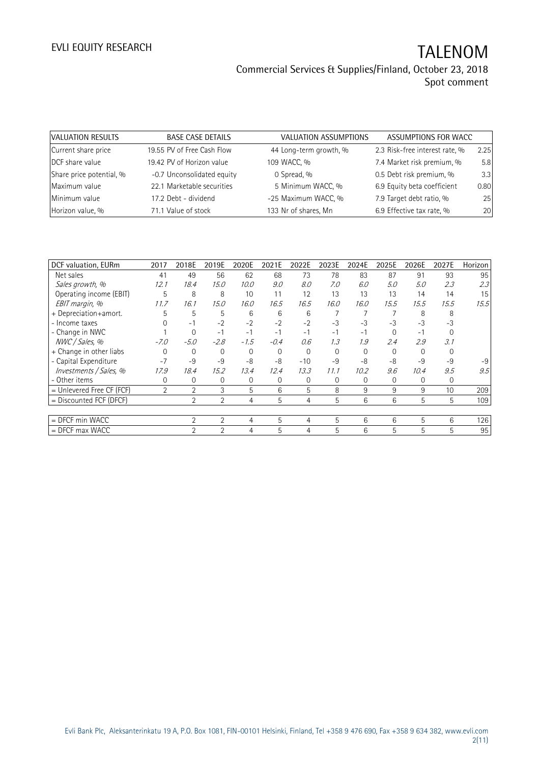| VALUATION RESULTS        | <b>BASE CASE DETAILS</b>   | VALUATION ASSUMPTIONS  | ASSUMPTIONS FOR WACC           |      |
|--------------------------|----------------------------|------------------------|--------------------------------|------|
| Current share price      | 19.55 PV of Free Cash Flow | 44 Long-term growth, % | 2.3 Risk-free interest rate, % | 2.25 |
| DCF share value          | 19.42 PV of Horizon value  | 109 WACC, %            | 7.4 Market risk premium, %     | 5.8  |
| Share price potential, % | -0.7 Unconsolidated equity | 0 Spread, %            | 0.5 Debt risk premium, %       | 3.3  |
| Maximum value            | 22.1 Marketable securities | 5 Minimum WACC, %      | 6.9 Equity beta coefficient    | 0.80 |
| Minimum value            | 17.2 Debt - dividend       | -25 Maximum WACC, %    | 7.9 Target debt ratio, %       | 25   |
| Horizon value, %         | 71.1 Value of stock        | 133 Nr of shares, Mn   | 6.9 Effective tax rate, %      | 20   |

| DCF valuation, EURm         | 2017           | 2018E          | 2019E          | 2020E  | 2021E  | 2022E       | 2023E    | 2024E | 2025E        | 2026E | 2027E | Horizon |
|-----------------------------|----------------|----------------|----------------|--------|--------|-------------|----------|-------|--------------|-------|-------|---------|
| Net sales                   | 41             | 49             | 56             | 62     | 68     | 73          | 78       | 83    | 87           | 91    | 93    | 95      |
| Sales growth, %             | 12.1           | 18.4           | 15.0           | 10.0   | 9.0    | 8.0         | 7.0      | 6.0   | 5.0          | 5.0   | 2.3   | 2.3     |
| Operating income (EBIT)     | 5              | 8              | 8              | 10     | 11     | 12          | 13       | 13    | 13           | 14    | 14    | 15      |
| EBIT margin, %              | 11.7           | 16.1           | 15.0           | 16.0   | 16.5   | 16.5        | 16.0     | 16.0  | 15.5         | 15.5  | 15.5  | 15.5    |
| + Depreciation+amort.       | 5              | 5              | 5              | 6      | 6      | 6           |          |       |              | 8     |       |         |
| - Income taxes              |                | $-1$           | $-2$           | $-2$   | $-2$   | $-2$        | $-3$     | $-3$  | $-3$         | $-3$  | $-3$  |         |
| - Change in NWC             |                | 0              | $-1$           | $-1$   | $-1$   | $-1$        | $-1$     | -1    | $\Omega$     | $-1$  |       |         |
| NWC / Sales, %              | $-7.0$         | $-5.0$         | $-2.8$         | $-1.5$ | $-0.4$ | 0.6         | 1.3      | 1.9   | 2.4          | 2.9   | 3.1   |         |
| + Change in other liabs     |                | 0              | $\Omega$       |        | 0      | $\Omega$    | $\Omega$ |       |              |       |       |         |
| - Capital Expenditure       | $-7$           | $-9$           | $-9$           | -8     | $-8$   | $-10$       | $-9$     | -8    | -8           | $-9$  | $-9$  | $-9$    |
| Investments / Sales, %      | 17.9           | 18.4           | 15.2           | 13.4   | 12.4   | 13.3        | 11.1     | 10.2  | 9.6          | 10.4  | 9.5   | 9.5     |
| - Other items               | 0              | 0              | 0              | 0      | 0      | $\mathbf 0$ | 0        | 0     | $\mathbf{0}$ | 0     | 0     |         |
| $=$ Unlevered Free CF (FCF) | $\overline{2}$ | $\overline{2}$ | 3              | 5      | 6      | 5           | 8        | 9     | 9            | 9     | 10    | 209     |
| = Discounted FCF (DFCF)     |                | $\overline{2}$ | $\overline{2}$ | 4      | 5      | 4           | 5        | 6     | 6            | 5     | 5     | 109     |
|                             |                |                |                |        |        |             |          |       |              |       |       |         |
| $=$ DFCF min WACC           |                | $\overline{2}$ | $\overline{2}$ | 4      | 5      | 4           | 5        | 6     | 6            | 5     | 6     | 126     |
| $=$ DFCF max WACC           |                | $\overline{2}$ | $\overline{2}$ | 4      | 5      | 4           | 5        | 6     | 5            | 5     | 5     | 95      |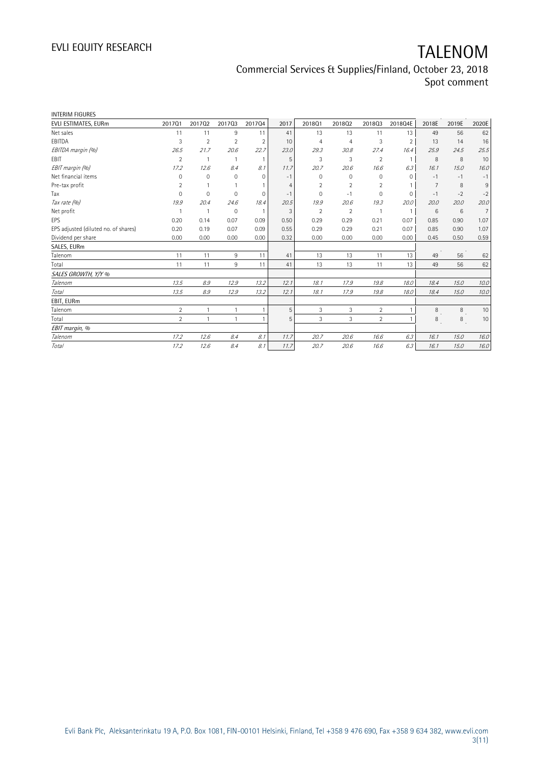| EVLI ESTIMATES, EURm                 | 201701         | 201702         | 201703         | 201704         | 2017 | 2018Q1         | 201802         | 201803         | 2018Q4E        | 2018E           | 2019E | 2020E          |
|--------------------------------------|----------------|----------------|----------------|----------------|------|----------------|----------------|----------------|----------------|-----------------|-------|----------------|
| Net sales                            | 11             | 11             | 9              | 11             | 41   | 13             | 13             | 11             | 13             | 49              | 56    | 62             |
| EBITDA                               | 3              | $\overline{2}$ | $\overline{2}$ | $\overline{2}$ | 10   | $\overline{4}$ | 4              | 3              | $\overline{2}$ | 13              | 14    | 16             |
| EBITDA margin (%)                    | 26.5           | 21.7           | 20.6           | 22.7           | 23.0 | 29.3           | 30.8           | 27.4           | 16.4           | 25.9            | 24.5  | 25.5           |
| EBIT                                 | $\overline{2}$ | $\mathbf{1}$   | 1              | $\overline{1}$ | 5    | 3              | 3              | $\overline{2}$ | $\mathbf{1}$   | 8               | 8     | 10             |
| EBIT margin (%)                      | 17.2           | 12.6           | 8.4            | 8.1            | 11.7 | 20.7           | 20.6           | 16.6           | 6.3            | 16.1            | 15.0  | 16.0           |
| Net financial items                  | $\Omega$       | $\mathbf 0$    | $\Omega$       | 0              | $-1$ | $\Omega$       | 0              | 0              | $\Omega$       | $-1$            | $-1$  | $-1$           |
| Pre-tax profit                       | $\overline{2}$ |                |                |                | 4    | $\overline{2}$ | $\overline{2}$ | $\overline{2}$ |                | $\overline{7}$  | 8     | $9\,$          |
| Tax                                  | $\Omega$       | $\mathbf 0$    | 0              | 0              | $-1$ | $\Omega$       | $-1$           | 0              | $\mathbf 0$    | $-1$            | $-2$  | $-2$           |
| Tax rate (%)                         | 19.9           | 20.4           | 24.6           | 18.4           | 20.5 | 19.9           | 20.6           | 19.3           | 20.0           | 20.0            | 20.0  | 20.0           |
| Net profit                           |                |                | 0              | $\overline{1}$ | 3    | $\overline{2}$ | $\overline{2}$ |                | $\mathbf{1}$   | $6\overline{6}$ | 6     | $\overline{7}$ |
| EPS                                  | 0.20           | 0.14           | 0.07           | 0.09           | 0.50 | 0.29           | 0.29           | 0.21           | 0.07           | 0.85            | 0.90  | 1.07           |
| EPS adjusted (diluted no. of shares) | 0.20           | 0.19           | 0.07           | 0.09           | 0.55 | 0.29           | 0.29           | 0.21           | 0.07           | 0.85            | 0.90  | 1.07           |
| Dividend per share                   | 0.00           | 0.00           | 0.00           | 0.00           | 0.32 | 0.00           | 0.00           | 0.00           | 0.00           | 0.45            | 0.50  | 0.59           |
| SALES, EURm                          |                |                |                |                |      |                |                |                |                |                 |       |                |
| Talenom                              | 11             | 11             | 9              | 11             | 41   | 13             | 13             | 11             | 13             | 49              | 56    | 62             |
| Total                                | 11             | 11             | 9              | 11             | 41   | 13             | 13             | 11             | 13             | 49              | 56    | 62             |
| SALES GROWTH, Y/Y %                  |                |                |                |                |      |                |                |                |                |                 |       |                |
| Talenom                              | 13.5           | 8.9            | 12.9           | 13.2           | 12.1 | 18.1           | 17.9           | 19.8           | 18.0           | 18.4            | 15.0  | 10.0           |
| <b>Total</b>                         | 13.5           | 8.9            | 12.9           | 13.2           | 12.1 | 18.1           | 17.9           | 19.8           | 18.0           | 18.4            | 15.0  | 10.0           |
| EBIT, EURm                           |                |                |                |                |      |                |                |                |                |                 |       |                |
| Talenom                              | $\overline{2}$ | $\mathbf{1}$   | $\mathbf{1}$   | $\mathbf{1}$   | 5    | 3              | 3              | $\overline{2}$ | 1              | 8               | 8     | 10             |
| Total                                | $\overline{2}$ | $\mathbf{1}$   | 1              | $\overline{1}$ | 5    | 3              | 3              | $\overline{2}$ | 1              | 8               | 8     | 10             |
| EBIT margin, %                       |                |                |                |                |      |                |                |                |                |                 |       |                |
| Talenom                              | 17.2           | 12.6           | 8.4            | 8.1            | 11.7 | 20.7           | 20.6           | 16.6           | 6.3            | 16.1            | 15.0  | 16.0           |
| Total                                | 17.2           | 12.6           | 8.4            | 8.1            | 11.7 | 20.7           | 20.6           | 16.6           | 6.3            | 16.1            | 15.0  | 16.0           |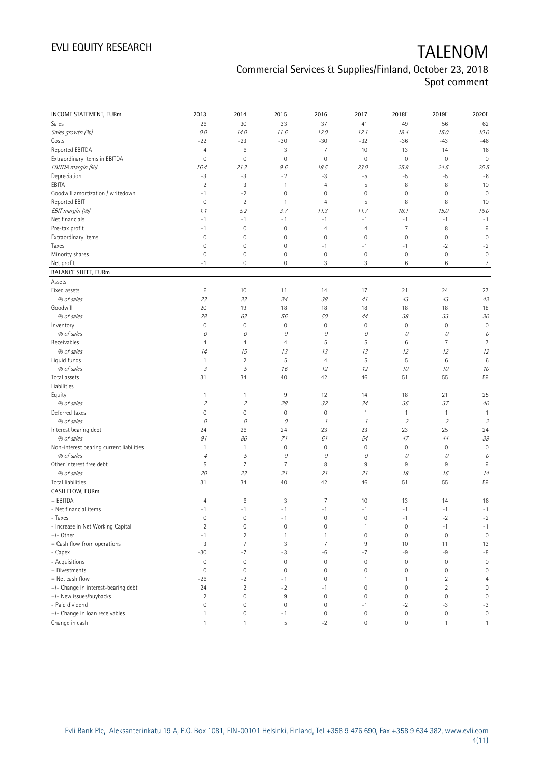| INCOME STATEMENT, EURm                   | 2013                        | 2014           | 2015                | 2016           | 2017           | 2018E               | 2019E          | 2020E          |
|------------------------------------------|-----------------------------|----------------|---------------------|----------------|----------------|---------------------|----------------|----------------|
| Sales                                    | 26                          | 30             | 33                  | 37             | 41             | 49                  | 56             | 62             |
| Sales growth (%)                         | 0.0                         | 14.0           | 11.6                | 12.0           | 12.1           | 18.4                | 15.0           | 10.0           |
| Costs                                    | $-22$                       | $-23$          | $-30$               | $-30$          | $-32$          | $-36$               | $-43$          | $-46$          |
| Reported EBITDA                          | $\overline{4}$              | 6              | 3                   | 7              | 10             | 13                  | 14             | 16             |
| Extraordinary items in EBITDA            | $\mathbf 0$                 | $\mathbf 0$    | $\bf 0$             | $\mathbf 0$    | $\mathbf 0$    | $\mathbb O$         | $\mathbb O$    | $\mathbf 0$    |
| EBITDA margin (%)                        | 16.4                        | 21.3           | 9.6                 | 18.5           | 23.0           | 25.9                | 24.5           | 25.5           |
| Depreciation                             | $-3$                        | $-3$           | $-2$                | $-3$           | $-5$           | $-5$                | $-5$           | $-6$           |
| EBITA                                    | $\overline{2}$              | 3              | $\overline{1}$      | $\overline{4}$ | 5              | 8                   | 8              | 10             |
| Goodwill amortization / writedown        | $-1$                        | $-2$           | $\mathbf 0$         | 0              | $\mathbf 0$    | $\mathbf 0$         | $\mathbf 0$    | $\mathbf 0$    |
| Reported EBIT                            | $\mathbf 0$                 | $\sqrt{2}$     | $\overline{1}$      | 4              | $\sqrt{5}$     | 8                   | 8              | 10             |
| EBIT margin (%)                          | 1.1                         | 5.2            | 3.7                 | 11.3           | 11.7           | 16.1                | 15.0           | 16.0           |
| Net financials                           | $-1$                        | $-1$           | $-1$                | $-1$           | $-1$           | $-1$                | $-1$           | $-1$           |
| Pre-tax profit                           | $-1$                        | $\mathbf 0$    | $\mathbf 0$         | $\overline{4}$ | $\overline{4}$ | $\overline{7}$      | 8              | 9              |
| Extraordinary items                      | $\mathbf 0$                 | $\mathbf 0$    | $\mathbf 0$         | $\mathbf 0$    | $\mathbf 0$    | $\mathbb O$         | $\mathbf 0$    | $\mathbf 0$    |
| Taxes                                    | $\mathbf 0$                 | $\mathbf 0$    | 0                   | $-1$           | $-1$           | $-1$                | $-2$           | $-2$           |
| Minority shares                          | $\mathbf 0$                 | $\mathbf 0$    | $\mathsf{O}\xspace$ | $\mathbf 0$    | $\mathbf 0$    | $\mathbf 0$         | $\mathbf 0$    | $\mathbb O$    |
| Net profit                               | $-1$                        | $\mathbf 0$    | $\mathbf 0$         | 3              | 3              | 6                   | 6              | $\overline{7}$ |
| <b>BALANCE SHEET, EURm</b>               |                             |                |                     |                |                |                     |                |                |
| Assets                                   |                             |                |                     |                |                |                     |                |                |
| Fixed assets                             | $\,6$                       | 10             | 11                  | 14             | 17             | 21                  | 24             | 27             |
| % of sales                               | 23                          | 33             | 34                  | 38             | 41             | 43                  | 43             | 43             |
| Goodwill                                 | 20                          | 19             | 18                  | 18             | 18             | 18                  | 18             | 18             |
| % of sales                               | 78                          | 63             | 56                  | 50             | 44             | 38                  | 33             | 30             |
| Inventory                                | $\mathsf{O}\xspace$         | $\mathbf 0$    | $\mathsf{O}\xspace$ | $\mathbf 0$    | $\mathbf 0$    | $\mathbf 0$         | $\mathbf 0$    | $\mathbf 0$    |
| % of sales                               | 0                           | 0              | О                   | 0              | 0              | О                   | 0              | 0              |
| Receivables                              | 4                           | $\overline{4}$ | 4                   | 5              | 5              | 6                   | 7              | 7              |
| % of sales                               | 14                          | 15             | 13                  | 13             | 13             | 12                  | 12             | 12             |
| Liquid funds                             | $\mathbf{1}$                | $\overline{2}$ | 5                   | $\overline{4}$ | 5              | 5                   | 6              | $\,6$          |
| % of sales                               | $\mathcal{I}% _{G}$         | 5              | 16                  | 12             | 12             | 10                  | 10             | 10             |
| Total assets                             | 31                          | 34             | 40                  | 42             | 46             | 51                  | 55             | 59             |
| Liabilities                              |                             |                |                     |                |                |                     |                |                |
| Equity                                   | $\mathbf{1}$                | $\mathbf{1}$   | 9                   | 12             | 14             | 18                  | 21             | 25             |
| % of sales                               | $\mathcal{L}_{\mathcal{L}}$ | $\overline{2}$ | 28                  | 32             | 34             | 36                  | 37             | 40             |
| Deferred taxes                           | 0                           | $\mathbf 0$    | $\mathbf 0$         | $\mathbf 0$    | $\mathbf{1}$   | $\overline{1}$      | 1              | $\overline{1}$ |
| % of sales                               | 0                           | $\mathcal O$   | О                   | $\mathcal I$   | $\mathcal{I}$  | $\overline{2}$      | $\sqrt{2}$     | $\sqrt{2}$     |
| Interest bearing debt                    | 24                          | 26             | 24                  | 23             | 23             | 23                  | 25             | 24             |
| % of sales                               | 91                          | 86             | 71                  | 61             | 54             | 47                  | 44             | 39             |
| Non-interest bearing current liabilities | $\mathbf{1}$                | $\mathbf{1}$   | $\mathbf 0$         | $\mathbf 0$    | $\mathbf 0$    | $\mathbf 0$         | $\mathbf 0$    | $\mathbf 0$    |
| % of sales                               | $\sqrt{4}$                  | 5              | 0                   | 0              | 0              | 0                   | 0              | 0              |
| Other interest free debt                 | 5                           | $\overline{7}$ | 7                   | 8              | 9              | 9                   | 9              | 9              |
| % of sales                               | 20                          | 23             | 21                  | 21             | 21             | 18                  | 16             | 14             |
| <b>Total liabilities</b>                 | 31                          | 34             | 40                  | 42             | 46             | 51                  | 55             | 59             |
| CASH FLOW, EURm                          |                             |                |                     |                |                |                     |                |                |
| + EBITDA                                 | $\overline{4}$              | $\,6$          | 3                   | $\overline{7}$ | 10             | 13                  | 14             | 16             |
| - Net financial items                    | $-1$                        | $-1$           | $-1$                | $-1$           | $-1$           | $-1$                | $-1$           | $-1$           |
| - Taxes                                  | $\mathsf{O}\xspace$         | $\mathbf 0$    | $-1$                | $\mathbf 0$    | $\mathbf 0$    | $-1$                | $-2$           | $-2$           |
| - Increase in Net Working Capital        | $\overline{2}$              | $\mathbf 0$    | $\mathbf 0$         | $\mathbf 0$    | $\mathbf{1}$   | $\mathbb O$         | $-1$           | $-1$           |
| +/- Other                                | $-1$                        | $\overline{2}$ | $\mathbf{1}$        | 1              | $\mathbf 0$    | $\mathsf{O}\xspace$ | $\mathbf 0$    | $\mathbf 0$    |
| = Cash flow from operations              | 3                           | $\overline{7}$ | 3                   | 7              | 9              | 10                  | 11             | 13             |
| - Capex                                  | $-30$                       | $-7$           | $-3$                | -6             | $-7$           | -9                  | $-9$           | $-8$           |
| - Acquisitions                           | $\mathbf 0$                 | $\mathbf 0$    | $\mathbf 0$         | $\mathbf 0$    | $\mathbf 0$    | $\mathbf 0$         | $\mathbf 0$    | $\mathbf 0$    |
| + Divestments                            | $\mathbf 0$                 | $\mathbf 0$    | $\mathbf 0$         | $\mathbf 0$    | $\mathbf 0$    | $\mathbf 0$         | 0              | $\mathbf 0$    |
| = Net cash flow                          | $-26$                       | $-2$           | $-1$                | 0              | $\mathbf{1}$   | $\mathbf{1}$        | $\overline{c}$ | $\overline{4}$ |
| +/- Change in interest-bearing debt      | 24                          | $\sqrt{2}$     | $-2$                | $-1$           | $\mathbf 0$    | $\mathsf{O}\xspace$ | $\overline{c}$ | $\mathbf 0$    |
| +/- New issues/buybacks                  | $\overline{2}$              | $\mathbf 0$    | 9                   | $\mathbf 0$    | $\mathbf 0$    | $\mathbb O$         | $\mathbf 0$    | $\mathbf 0$    |
| - Paid dividend                          | $\mathsf{O}\xspace$         | $\mathbf 0$    | $\mathbf 0$         | $\mathbf 0$    | $-1$           | $-2$                | $-3$           | $-3$           |
| +/- Change in loan receivables           | $\mathbf{1}$                | $\mathbf 0$    | $-1$                | $\mathbf 0$    | $\mathbf 0$    | $\mathbb O$         | $\mathbb O$    | $\mathbb O$    |
| Change in cash                           | $\mathbf{1}$                | $\mathbf{1}$   | 5                   | $-2$           | $\mathbf 0$    | $\mathbb O$         | 1              | $\mathbf{1}$   |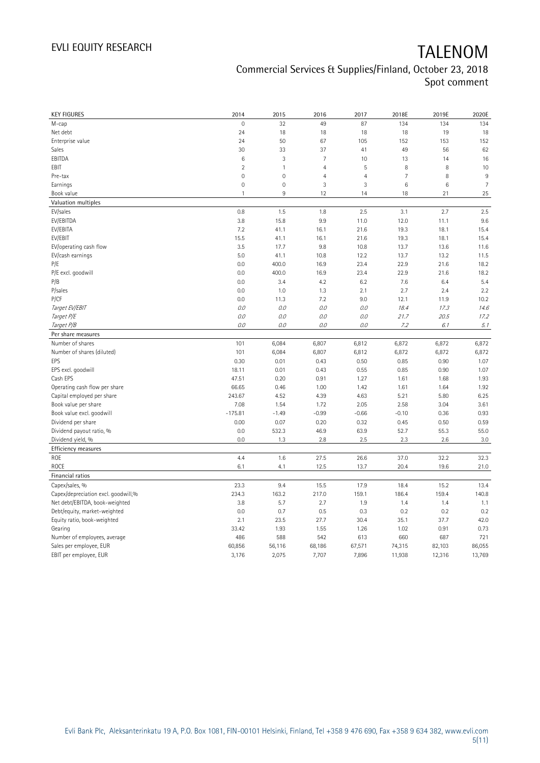| <b>KEY FIGURES</b>                  | 2014           | 2015         | 2016           | 2017           | 2018E           | 2019E  | 2020E          |
|-------------------------------------|----------------|--------------|----------------|----------------|-----------------|--------|----------------|
| M-cap                               | $\overline{0}$ | 32           | 49             | 87             | 134             | 134    | 134            |
| Net debt                            | 24             | 18           | 18             | 18             | 18              | 19     | 18             |
| Enterprise value                    | 24             | 50           | 67             | 105            | 152             | 153    | 152            |
| Sales                               | 30             | 33           | 37             | 41             | 49              | 56     | 62             |
| EBITDA                              | 6              | 3            | $\overline{7}$ | 10             | 13              | 14     | 16             |
| EBIT                                | $\overline{2}$ | $\mathbf{1}$ | $\overline{4}$ | 5              | 8               | 8      | 10             |
| Pre-tax                             | $\overline{0}$ | $\mathbf 0$  | $\overline{4}$ | $\overline{4}$ | $\overline{7}$  | 8      | 9              |
| Earnings                            | $\mathbf 0$    | $\mathbf 0$  | 3              | 3              | $6\phantom{1}6$ | 6      | $\overline{7}$ |
| Book value                          | $\mathbf{1}$   | $9\,$        | 12             | 14             | 18              | 21     | 25             |
| Valuation multiples                 |                |              |                |                |                 |        |                |
| EV/sales                            | 0.8            | 1.5          | 1.8            | 2.5            | 3.1             | 2.7    | 2.5            |
| EV/EBITDA                           | 3.8            | 15.8         | 9.9            | 11.0           | 12.0            | 11.1   | 9.6            |
| EV/EBITA                            | 7.2            | 41.1         | 16.1           | 21.6           | 19.3            | 18.1   | 15.4           |
| EV/EBIT                             | 15.5           | 41.1         | 16.1           | 21.6           | 19.3            | 18.1   | 15.4           |
| EV/operating cash flow              | 3.5            | 17.7         | 9.8            | 10.8           | 13.7            | 13.6   | 11.6           |
| EV/cash earnings                    | 5.0            | 41.1         | 10.8           | 12.2           | 13.7            | 13.2   | 11.5           |
| P/E                                 | 0.0            | 400.0        | 16.9           | 23.4           | 22.9            | 21.6   | 18.2           |
| P/E excl. goodwill                  | 0.0            | 400.0        | 16.9           | 23.4           | 22.9            | 21.6   | 18.2           |
| P/B                                 | 0.0            | 3.4          | 4.2            | 6.2            | 7.6             | 6.4    | 5.4            |
| P/sales                             | 0.0            | 1.0          | 1.3            | 2.1            | 2.7             | 2.4    | 2.2            |
| P/CF                                | 0.0            | 11.3         | 7.2            | 9.0            | 12.1            | 11.9   | 10.2           |
| Target EV/EBIT                      | O.O            | 0.0          | 0.0            | 0.0            | 18.4            | 17.3   | 14.6           |
| Target P/E                          | $0.0$          | 0.0          | 0.0            | 0.0            | 21.7            | 20.5   | 17.2           |
| Target P/B                          | 0.0            | 0.0          | $0.0$          | $O.O$          | 7.2             | 6.1    | 5.1            |
| Per share measures                  |                |              |                |                |                 |        |                |
| Number of shares                    | 101            | 6,084        | 6,807          | 6,812          | 6,872           | 6,872  | 6,872          |
| Number of shares (diluted)          | 101            | 6,084        | 6,807          | 6,812          | 6,872           | 6,872  | 6,872          |
| EPS                                 | 0.30           | 0.01         | 0.43           | 0.50           | 0.85            | 0.90   | 1.07           |
| EPS excl. goodwill                  | 18.11          | 0.01         | 0.43           | 0.55           | 0.85            | 0.90   | 1.07           |
| Cash EPS                            | 47.51          | 0.20         | 0.91           | 1.27           | 1.61            | 1.68   | 1.93           |
| Operating cash flow per share       | 66.65          | 0.46         | 1.00           | 1.42           | 1.61            | 1.64   | 1.92           |
| Capital employed per share          | 243.67         | 4.52         | 4.39           | 4.63           | 5.21            | 5.80   | 6.25           |
| Book value per share                | 7.08           | 1.54         | 1.72           | 2.05           | 2.58            | 3.04   | 3.61           |
| Book value excl. goodwill           | $-175.81$      | $-1.49$      | $-0.99$        | $-0.66$        | $-0.10$         | 0.36   | 0.93           |
| Dividend per share                  | 0.00           | 0.07         | 0.20           | 0.32           | 0.45            | 0.50   | 0.59           |
| Dividend payout ratio, %            | 0.0            | 532.3        | 46.9           | 63.9           | 52.7            | 55.3   | 55.0           |
| Dividend yield, %                   | 0.0            | 1.3          | 2.8            | 2.5            | 2.3             | 2.6    | 3.0            |
| Efficiency measures                 |                |              |                |                |                 |        |                |
| ROE                                 | 4.4            | 1.6          | 27.5           | 26.6           | 37.0            | 32.2   | 32.3           |
| <b>ROCE</b>                         | 6.1            | 4.1          | 12.5           | 13.7           | 20.4            | 19.6   | 21.0           |
| Financial ratios                    |                |              |                |                |                 |        |                |
| Capex/sales, %                      | 23.3           | 9.4          | 15.5           | 17.9           | 18.4            | 15.2   | 13.4           |
| Capex/depreciation excl. goodwill,% | 234.3          | 163.2        | 217.0          | 159.1          | 186.4           | 159.4  | 140.8          |
| Net debt/EBITDA, book-weighted      | 3.8            | 5.7          | 2.7            | 1.9            | 1.4             | 1.4    | 1.1            |
| Debt/equity, market-weighted        | 0.0            | 0.7          | 0.5            | 0.3            | 0.2             | 0.2    | 0.2            |
| Equity ratio, book-weighted         | 2.1            | 23.5         | 27.7           | 30.4           | 35.1            | 37.7   | 42.0           |
| Gearing                             | 33.42          | 1.93         | 1.55           | 1.26           | 1.02            | 0.91   | 0.73           |
| Number of employees, average        | 486            | 588          | 542            | 613            | 660             | 687    | 721            |
| Sales per employee, EUR             | 60,856         | 56,116       | 68,186         | 67,571         | 74,315          | 82,103 | 86,055         |
| EBIT per employee, EUR              | 3,176          | 2,075        | 7,707          | 7,896          | 11,938          | 12,316 | 13,769         |
|                                     |                |              |                |                |                 |        |                |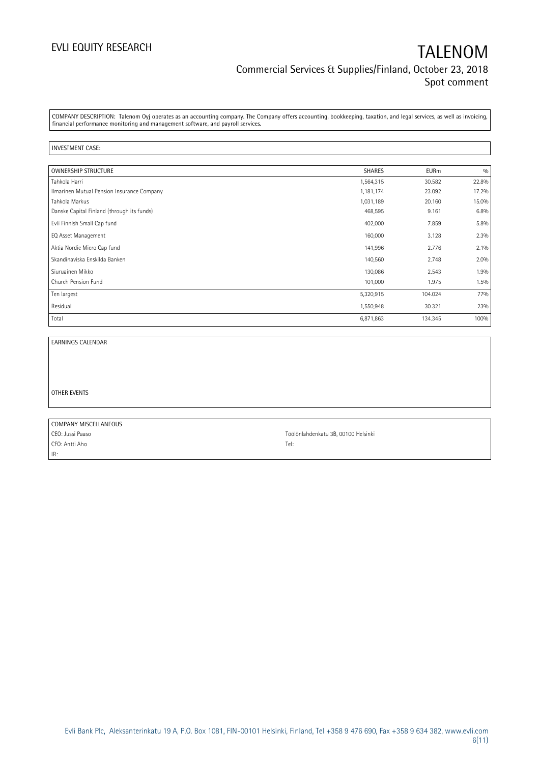COMPANY DESCRIPTION: Talenom Oyj operates as an accounting company. The Company offers accounting, bookkeeping, taxation, and legal services, as well as invoicing, financial performance monitoring and management software, and payroll services.

#### INVESTMENT CASE:

| <b>OWNERSHIP STRUCTURE</b>                 | <b>SHARES</b> | <b>EURm</b> | 0/0   |
|--------------------------------------------|---------------|-------------|-------|
| Tahkola Harri                              | 1,564,315     | 30.582      | 22.8% |
| Ilmarinen Mutual Pension Insurance Company | 1,181,174     | 23.092      | 17.2% |
| Tahkola Markus                             | 1,031,189     | 20.160      | 15.0% |
| Danske Capital Finland (through its funds) | 468,595       | 9.161       | 6.8%  |
| Evli Finnish Small Cap fund                | 402,000       | 7.859       | 5.8%  |
| EQ Asset Management                        | 160,000       | 3.128       | 2.3%  |
| Aktia Nordic Micro Cap fund                | 141,996       | 2.776       | 2.1%  |
| Skandinaviska Enskilda Banken              | 140,560       | 2.748       | 2.0%  |
| Siuruainen Mikko                           | 130,086       | 2.543       | 1.9%  |
| Church Pension Fund                        | 101,000       | 1.975       | 1.5%  |
| Ten largest                                | 5,320,915     | 104.024     | 77%   |
| Residual                                   | 1,550,948     | 30.321      | 23%   |
| Total                                      | 6,871,863     | 134.345     | 100%  |

EARNINGS CALENDAR

OTHER EVENTS

COMPANY MISCELLANEOUS CEO: Jussi Paaso CEO: 1000 Helsinki CFO: Antti Aho Tel: IR:

Evli Bank Plc, Aleksanterinkatu 19 A, P.O. Box 1081, FIN-00101 Helsinki, Finland, Tel +358 9 476 690, Fax +358 9 634 382, [www.evli.com](http://www.evli.com/) 6(11)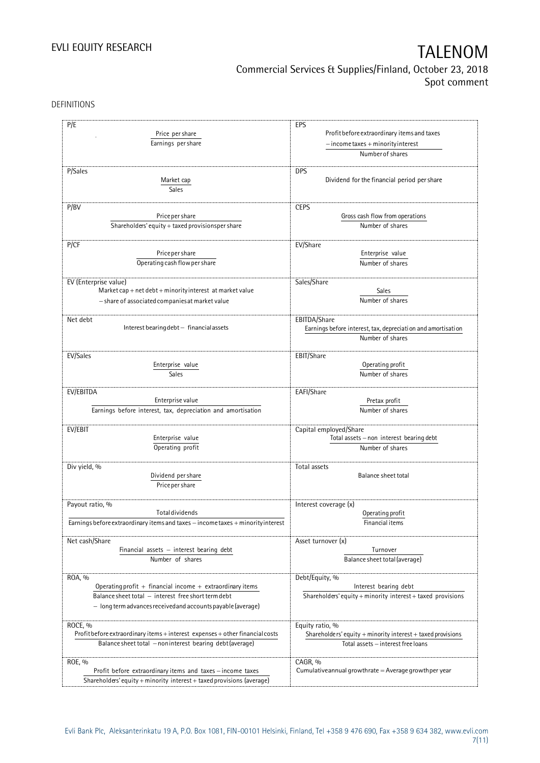DEFINITIONS

| P/E<br>Price per share<br>Earnings per share                                     | EPS<br>Profit before extraordinary items and taxes<br>$-$ income taxes + minority interest |
|----------------------------------------------------------------------------------|--------------------------------------------------------------------------------------------|
|                                                                                  | Number of shares                                                                           |
| P/Sales<br>Market cap<br>Sales                                                   | <b>DPS</b><br>Dividend for the financial period per share                                  |
| P/BV                                                                             | <b>CEPS</b>                                                                                |
| Price per share                                                                  | Gross cash flow from operations                                                            |
| Shareholders' equity + taxed provisionsper share                                 | Number of shares                                                                           |
| P/CF                                                                             | EV/Share                                                                                   |
| Price per share                                                                  | Enterprise value                                                                           |
| Operating cash flow per share                                                    | Number of shares                                                                           |
| EV (Enterprise value)                                                            | Sales/Share                                                                                |
| Market cap + net debt + minority interest at market value                        | Sales                                                                                      |
| - share of associated companies at market value                                  | Number of shares                                                                           |
| Net debt                                                                         | EBITDA/Share                                                                               |
| Interest bearing debt - financial assets                                         | Earnings before interest, tax, depreciation and amortisation                               |
|                                                                                  | Number of shares                                                                           |
| EV/Sales                                                                         | EBIT/Share                                                                                 |
| Enterprise value                                                                 | Operating profit                                                                           |
| Sales                                                                            | Number of shares                                                                           |
| EV/EBITDA                                                                        | EAFI/Share                                                                                 |
| Enterprise value                                                                 | Pretax profit                                                                              |
| Earnings before interest, tax, depreciation and amortisation                     | Number of shares                                                                           |
| EV/EBIT                                                                          | Capital employed/Share                                                                     |
| Enterprise value                                                                 | Total assets - non interest bearing debt                                                   |
| Operating profit                                                                 | Number of shares                                                                           |
| Div yield, %                                                                     | Total assets                                                                               |
| Dividend per share                                                               | Balance sheet total                                                                        |
| Price per share                                                                  |                                                                                            |
| Payout ratio, %                                                                  | Interest coverage (x)                                                                      |
| <b>Total dividends</b>                                                           | Operating profit                                                                           |
| Earnings before extraordinary items and taxes - income taxes + minority interest | Financial items                                                                            |
| Net cash/Share                                                                   | Asset turnover (x)                                                                         |
| Financial assets $-$ interest bearing debt                                       | Turnover                                                                                   |
| Number of shares                                                                 | Balance sheet total (average)                                                              |
| ROA, %                                                                           | Debt/Equity, %                                                                             |
| Operating profit $+$ financial income $+$ extraordinary items                    | Interest bearing debt                                                                      |
| Balance sheet total - interest free short term debt                              | Shareholders' equity + minority interest + taxed provisions                                |
| - long term advances received and accounts payable (average)                     |                                                                                            |
| ROCE, %                                                                          | Equity ratio, %                                                                            |
| Profit before extraordinary items + interest expenses + other financial costs    | Shareholders' equity $+$ minority interest $+$ taxed provisions                            |
| Balance sheet total - noninterest bearing debt (average)                         | Total assets - interest free loans                                                         |
| ROE, %                                                                           | CAGR, %                                                                                    |
| Profit before extraordinary items and taxes - income taxes                       | Cumulative annual growthrate $=$ Average growthper year                                    |
| Shareholders' equity + minority interest + taxed provisions (average)            |                                                                                            |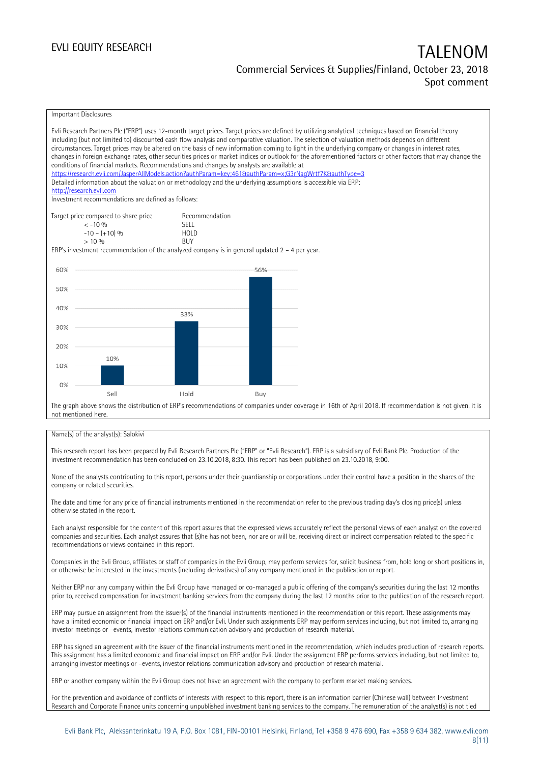## Commercial Services & Supplies/Finland, October 23, 2018 Spot comment

| Important Disclosures                                                                                                                                                                                                                                                                                                                                                                                                                                                                                                                                                                                                                                                                                                                                                                                                                                                                                                                                                                                                                       |                            |     |  |
|---------------------------------------------------------------------------------------------------------------------------------------------------------------------------------------------------------------------------------------------------------------------------------------------------------------------------------------------------------------------------------------------------------------------------------------------------------------------------------------------------------------------------------------------------------------------------------------------------------------------------------------------------------------------------------------------------------------------------------------------------------------------------------------------------------------------------------------------------------------------------------------------------------------------------------------------------------------------------------------------------------------------------------------------|----------------------------|-----|--|
| Evli Research Partners Plc ("ERP") uses 12-month target prices. Target prices are defined by utilizing analytical techniques based on financial theory<br>including (but not limited to) discounted cash flow analysis and comparative valuation. The selection of valuation methods depends on different<br>circumstances. Target prices may be altered on the basis of new information coming to light in the underlying company or changes in interest rates,<br>changes in foreign exchange rates, other securities prices or market indices or outlook for the aforementioned factors or other factors that may change the<br>conditions of financial markets. Recommendations and changes by analysts are available at<br>https://research.evli.com/JasperAllModels.action?authParam=key;461&tauthParam=x;G3rNaqWrtf7K&tauthType=3<br>Detailed information about the valuation or methodology and the underlying assumptions is accessible via ERP:<br>http://research.evli.com<br>Investment recommendations are defined as follows: |                            |     |  |
| Target price compared to share price                                                                                                                                                                                                                                                                                                                                                                                                                                                                                                                                                                                                                                                                                                                                                                                                                                                                                                                                                                                                        | Recommendation             |     |  |
| $<-10.96$<br>$-10 - (+10)$ %                                                                                                                                                                                                                                                                                                                                                                                                                                                                                                                                                                                                                                                                                                                                                                                                                                                                                                                                                                                                                | <b>SELL</b><br><b>HOLD</b> |     |  |
| $> 10\%$                                                                                                                                                                                                                                                                                                                                                                                                                                                                                                                                                                                                                                                                                                                                                                                                                                                                                                                                                                                                                                    | <b>BUY</b>                 |     |  |
| ERP's investment recommendation of the analyzed company is in general updated $2 - 4$ per year.                                                                                                                                                                                                                                                                                                                                                                                                                                                                                                                                                                                                                                                                                                                                                                                                                                                                                                                                             |                            |     |  |
|                                                                                                                                                                                                                                                                                                                                                                                                                                                                                                                                                                                                                                                                                                                                                                                                                                                                                                                                                                                                                                             |                            |     |  |
| 60%                                                                                                                                                                                                                                                                                                                                                                                                                                                                                                                                                                                                                                                                                                                                                                                                                                                                                                                                                                                                                                         |                            | 56% |  |
| 50%                                                                                                                                                                                                                                                                                                                                                                                                                                                                                                                                                                                                                                                                                                                                                                                                                                                                                                                                                                                                                                         |                            |     |  |
|                                                                                                                                                                                                                                                                                                                                                                                                                                                                                                                                                                                                                                                                                                                                                                                                                                                                                                                                                                                                                                             |                            |     |  |
| 40%                                                                                                                                                                                                                                                                                                                                                                                                                                                                                                                                                                                                                                                                                                                                                                                                                                                                                                                                                                                                                                         |                            |     |  |
|                                                                                                                                                                                                                                                                                                                                                                                                                                                                                                                                                                                                                                                                                                                                                                                                                                                                                                                                                                                                                                             | 33%                        |     |  |
| 30%                                                                                                                                                                                                                                                                                                                                                                                                                                                                                                                                                                                                                                                                                                                                                                                                                                                                                                                                                                                                                                         |                            |     |  |
|                                                                                                                                                                                                                                                                                                                                                                                                                                                                                                                                                                                                                                                                                                                                                                                                                                                                                                                                                                                                                                             |                            |     |  |
| 20%                                                                                                                                                                                                                                                                                                                                                                                                                                                                                                                                                                                                                                                                                                                                                                                                                                                                                                                                                                                                                                         |                            |     |  |
| 10%                                                                                                                                                                                                                                                                                                                                                                                                                                                                                                                                                                                                                                                                                                                                                                                                                                                                                                                                                                                                                                         |                            |     |  |
| 10%                                                                                                                                                                                                                                                                                                                                                                                                                                                                                                                                                                                                                                                                                                                                                                                                                                                                                                                                                                                                                                         |                            |     |  |
| 0%                                                                                                                                                                                                                                                                                                                                                                                                                                                                                                                                                                                                                                                                                                                                                                                                                                                                                                                                                                                                                                          |                            |     |  |
| Sell                                                                                                                                                                                                                                                                                                                                                                                                                                                                                                                                                                                                                                                                                                                                                                                                                                                                                                                                                                                                                                        | Hold                       | Buy |  |
| The graph above shows the distribution of ERP's recommendations of companies under coverage in 16th of April 2018. If recommendation is not given, it is                                                                                                                                                                                                                                                                                                                                                                                                                                                                                                                                                                                                                                                                                                                                                                                                                                                                                    |                            |     |  |
| not mentioned here.                                                                                                                                                                                                                                                                                                                                                                                                                                                                                                                                                                                                                                                                                                                                                                                                                                                                                                                                                                                                                         |                            |     |  |

#### Name(s) of the analyst(s): Salokivi

This research report has been prepared by Evli Research Partners Plc ("ERP" or "Evli Research"). ERP is a subsidiary of Evli Bank Plc. Production of the investment recommendation has been concluded on 23.10.2018, 8:30. This report has been published on 23.10.2018, 9:00.

None of the analysts contributing to this report, persons under their guardianship or corporations under their control have a position in the shares of the company or related securities.

The date and time for any price of financial instruments mentioned in the recommendation refer to the previous trading day's closing price(s) unless otherwise stated in the report.

Each analyst responsible for the content of this report assures that the expressed views accurately reflect the personal views of each analyst on the covered companies and securities. Each analyst assures that (s)he has not been, nor are or will be, receiving direct or indirect compensation related to the specific recommendations or views contained in this report.

Companies in the Evli Group, affiliates or staff of companies in the Evli Group, may perform services for, solicit business from, hold long or short positions in, or otherwise be interested in the investments (including derivatives) of any company mentioned in the publication or report.

Neither ERP nor any company within the Evli Group have managed or co-managed a public offering of the company's securities during the last 12 months prior to, received compensation for investment banking services from the company during the last 12 months prior to the publication of the research report.

ERP may pursue an assignment from the issuer(s) of the financial instruments mentioned in the recommendation or this report. These assignments may have a limited economic or financial impact on ERP and/or Evli. Under such assignments ERP may perform services including, but not limited to, arranging investor meetings or –events, investor relations communication advisory and production of research material.

ERP has signed an agreement with the issuer of the financial instruments mentioned in the recommendation, which includes production of research reports. This assignment has a limited economic and financial impact on ERP and/or Evli. Under the assignment ERP performs services including, but not limited to, arranging investor meetings or –events, investor relations communication advisory and production of research material.

ERP or another company within the Evli Group does not have an agreement with the company to perform market making services.

For the prevention and avoidance of conflicts of interests with respect to this report, there is an information barrier (Chinese wall) between Investment Research and Corporate Finance units concerning unpublished investment banking services to the company. The remuneration of the analyst(s) is not tied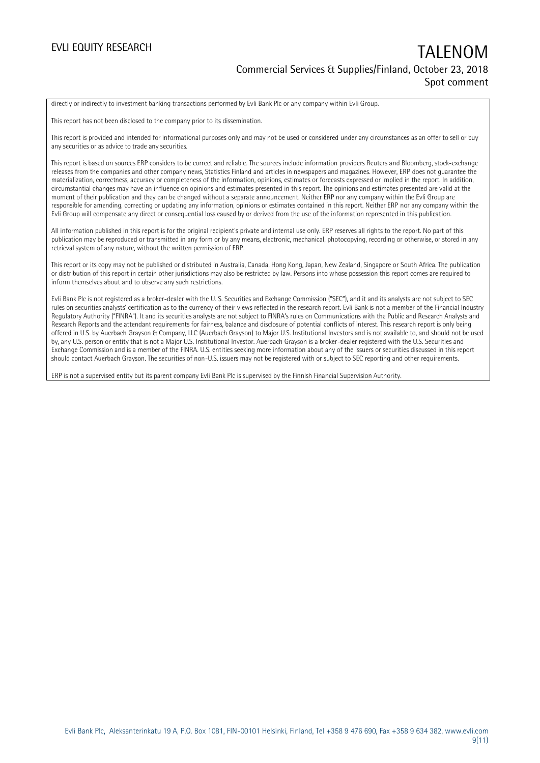directly or indirectly to investment banking transactions performed by Evli Bank Plc or any company within Evli Group.

This report has not been disclosed to the company prior to its dissemination.

This report is provided and intended for informational purposes only and may not be used or considered under any circumstances as an offer to sell or buy any securities or as advice to trade any securities.

This report is based on sources ERP considers to be correct and reliable. The sources include information providers Reuters and Bloomberg, stock-exchange releases from the companies and other company news, Statistics Finland and articles in newspapers and magazines. However, ERP does not guarantee the materialization, correctness, accuracy or completeness of the information, opinions, estimates or forecasts expressed or implied in the report. In addition, circumstantial changes may have an influence on opinions and estimates presented in this report. The opinions and estimates presented are valid at the moment of their publication and they can be changed without a separate announcement. Neither ERP nor any company within the Evli Group are responsible for amending, correcting or updating any information, opinions or estimates contained in this report. Neither ERP nor any company within the Evli Group will compensate any direct or consequential loss caused by or derived from the use of the information represented in this publication.

All information published in this report is for the original recipient's private and internal use only. ERP reserves all rights to the report. No part of this publication may be reproduced or transmitted in any form or by any means, electronic, mechanical, photocopying, recording or otherwise, or stored in any retrieval system of any nature, without the written permission of ERP.

This report or its copy may not be published or distributed in Australia, Canada, Hong Kong, Japan, New Zealand, Singapore or South Africa. The publication or distribution of this report in certain other jurisdictions may also be restricted by law. Persons into whose possession this report comes are required to inform themselves about and to observe any such restrictions.

Evli Bank Plc is not registered as a broker-dealer with the U. S. Securities and Exchange Commission ("SEC"), and it and its analysts are not subject to SEC rules on securities analysts' certification as to the currency of their views reflected in the research report. Evli Bank is not a member of the Financial Industry Regulatory Authority ("FINRA"). It and its securities analysts are not subject to FINRA's rules on Communications with the Public and Research Analysts and Research Reports and the attendant requirements for fairness, balance and disclosure of potential conflicts of interest. This research report is only being offered in U.S. by Auerbach Grayson & Company, LLC (Auerbach Grayson) to Major U.S. Institutional Investors and is not available to, and should not be used by, any U.S. person or entity that is not a Major U.S. Institutional Investor. Auerbach Grayson is a broker-dealer registered with the U.S. Securities and Exchange Commission and is a member of the FINRA. U.S. entities seeking more information about any of the issuers or securities discussed in this report should contact Auerbach Grayson. The securities of non-U.S. issuers may not be registered with or subject to SEC reporting and other requirements.

ERP is not a supervised entity but its parent company Evli Bank Plc is supervised by the Finnish Financial Supervision Authority.